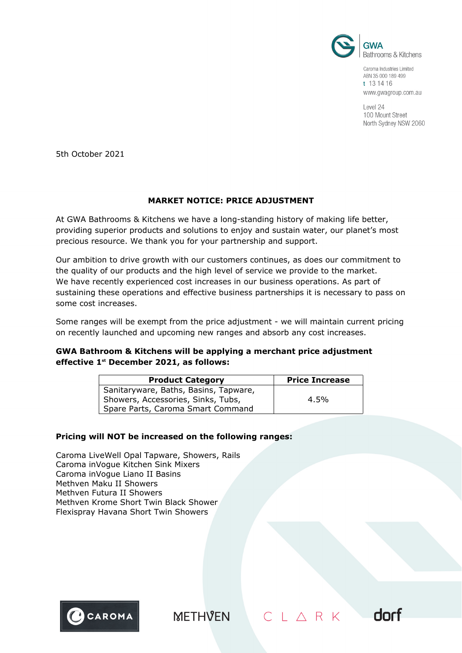

Caroma Industries Limited ABN 35 000 189 499 t 13 14 16 www.gwagroup.com.au

Level 24 100 Mount Street North Sydney NSW 2060

dorf

 $CL \triangle R K$ 

5th October 2021

# **MARKET NOTICE: PRICE ADJUSTMENT**

At GWA Bathrooms & Kitchens we have a long-standing history of making life better, providing superior products and solutions to enjoy and sustain water, our planet's most precious resource. We thank you for your partnership and support.

Our ambition to drive growth with our customers continues, as does our commitment to the quality of our products and the high level of service we provide to the market. We have recently experienced cost increases in our business operations. As part of sustaining these operations and effective business partnerships it is necessary to pass on some cost increases.

Some ranges will be exempt from the price adjustment - we will maintain current pricing on recently launched and upcoming new ranges and absorb any cost increases.

# **GWA Bathroom & Kitchens will be applying a merchant price adjustment effective 1st December 2021, as follows:**

| <b>Product Category</b>               | <b>Price Increase</b> |
|---------------------------------------|-----------------------|
| Sanitaryware, Baths, Basins, Tapware, |                       |
| Showers, Accessories, Sinks, Tubs,    | 4.5%                  |
| Spare Parts, Caroma Smart Command     |                       |

# **Pricing will NOT be increased on the following ranges:**

Caroma LiveWell Opal Tapware, Showers, Rails Caroma inVogue Kitchen Sink Mixers Caroma inVogue Liano II Basins Methven Maku II Showers Methven Futura II Showers Methven Krome Short Twin Black Shower Flexispray Havana Short Twin Showers



**METHVEN**